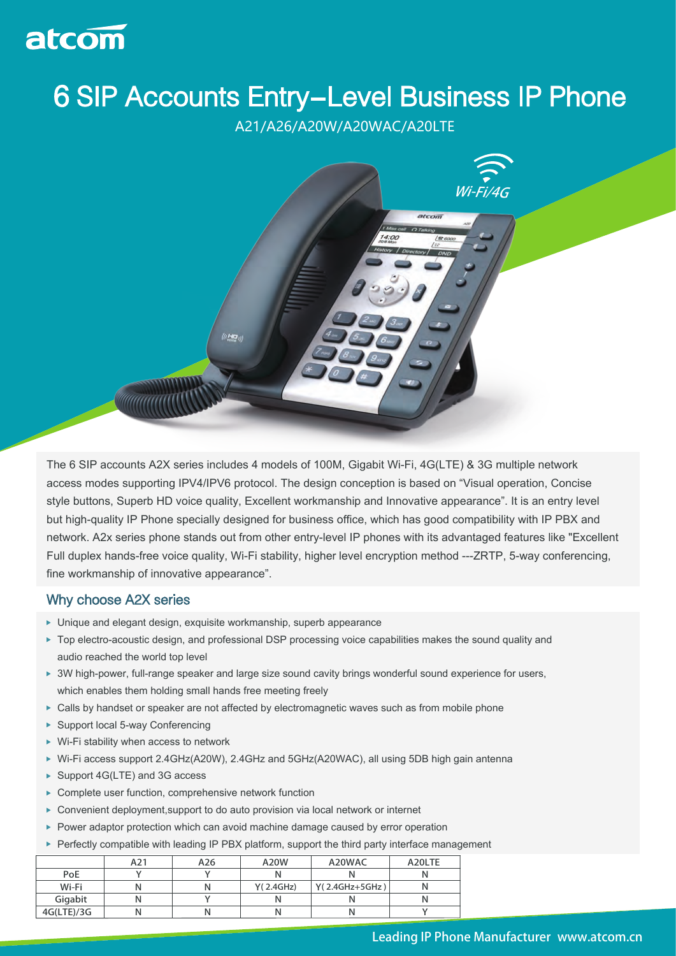

## **6 SIP Accounts Entry-Level Business IP Phone**

A21/A26/A20W/A20WAC/A20LTE



The 6 SIP accounts A2X series includes 4 models of 100M, Gigabit Wi-Fi, 4G(LTE) & 3G multiple network access modes supporting IPV4/IPV6 protocol. The design conception is based on "Visual operation, Concise style buttons, Superb HD voice quality, Excellent workmanship and Innovative appearance". It is an entry level but high-quality IP Phone specially designed for business office, which has good compatibility with IP PBX and network. A2x series phone stands out from other entry-level IP phones with its advantaged features like "Excellent Full duplex hands-free voice quality, Wi-Fi stability, higher level encryption method ---ZRTP, 5-way conferencing, fine workmanship of innovative appearance".

## Why choose A2X series

- Unique and elegant design, exquisite workmanship, superb appearance
- ▶ Top electro-acoustic design, and professional DSP processing voice capabilities makes the sound quality and audio reached the world top level
- ▶ 3W high-power, full-range speaker and large size sound cavity brings wonderful sound experience for users, which enables them holding small hands free meeting freely
- ► Calls by handset or speaker are not affected by electromagnetic waves such as from mobile phone
- ▶ Support local 5-way Conferencing
- ▶ Wi-Fi stability when access to network
- Wi-Fi access support 2.4GHz(A20W), 2.4GHz and 5GHz(A20WAC), all using 5DB high gain antenna
- ▶ Support 4G(LTE) and 3G access
- ▶ Complete user function, comprehensive network function
- ▶ Convenient deployment, support to do auto provision via local network or internet
- ▶ Power adaptor protection which can avoid machine damage caused by error operation
- ▶ Perfectly compatible with leading IP PBX platform, support the third party interface management

|            | A21 | A26 | A20W      | A20WAC           | A20LTE |
|------------|-----|-----|-----------|------------------|--------|
| <b>PoE</b> |     |     |           |                  |        |
| Wi-Fi      |     |     | Y(2.4GHz) | $Y(2.4GHz+5GHz)$ |        |
| Gigabit    |     |     |           |                  |        |
| 4G(LTE)/3G |     |     | N         |                  |        |